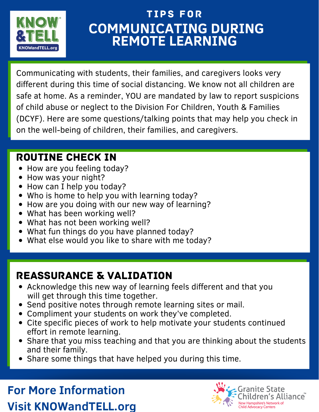

## **COMMUNICATING DURING REMOTE LEARNING** tips for

Communicating with students, their families, and caregivers looks very different during this time of social distancing. We know not all children are safe at home. As a reminder, YOU are mandated by law to report suspicions of child abuse or neglect to the Division For Children, Youth & Families (DCYF). Here are some questions/talking points that may help you check in on the well-being of children, their families, and caregivers.

#### ROUTINE CHECK IN

- How are you feeling today?
- How was your night?
- How can I help you today?
- Who is home to help you with learning today?
- How are you doing with our new way of learning?
- What has been working well?
- What has not been working well?
- What fun things do you have planned today?
- What else would you like to share with me today?

### REASSURANCE & VALIDATION

- Acknowledge this new way of learning feels different and that you will get through this time together.
- Send positive notes through remote learning sites or mail.
- Compliment your students on work they've completed.
- Cite specific pieces of work to help motivate your students continued effort in remote learning.
- Share that you miss teaching and that you are thinking about the students and their family.
- Share some things that have helped you during this time.

## **For More Information Visit KNOWandTELL.org**

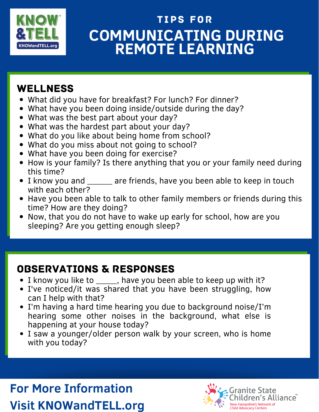

## **COMMUNICATING DURING REMOTE LEARNING** tips for

#### **WELLNESS**

- What did you have for breakfast? For lunch? For dinner?
- What have you been doing inside/outside during the day?
- What was the best part about your day?
- What was the hardest part about your day?
- What do you like about being home from school?
- What do you miss about not going to school?
- What have you been doing for exercise?
- How is your family? Is there anything that you or your family need during this time?
- I know you and \_\_\_\_\_\_ are friends, have you been able to keep in touch with each other?
- Have you been able to talk to other family members or friends during this time? How are they doing?
- Now, that you do not have to wake up early for school, how are you sleeping? Are you getting enough sleep?

#### OBSERVATIONS & RESPONSES

- I know you like to \_\_\_\_\_, have you been able to keep up with it?
- I've noticed/it was shared that you have been struggling, how can I help with that?
- I'm having a hard time hearing you due to background noise/I'm hearing some other noises in the background, what else is happening at your house today?
- I saw a younger/older person walk by your screen, who is home with you today?

**For More Information Visit KNOWandTELL.org**